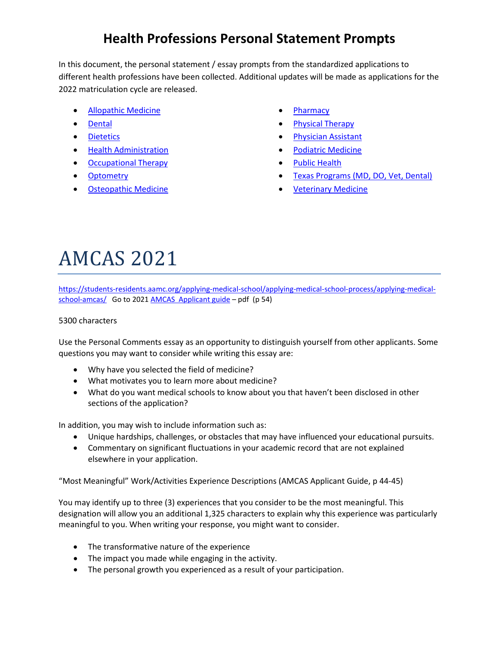### **Health Professions Personal Statement Prompts**

In this document, the personal statement / essay prompts from the standardized applications to different health professions have been collected. Additional updates will be made as applications for the 2022 matriculation cycle are released.

- [Allopathic Medicine](#page-0-0)
- [Dental](#page-3-0)
- [Dietetics](#page-7-0)
- [Health Administration](#page-7-1)
- [Occupational Therapy](#page-3-1)
- [Optometry](#page-4-0)
- [Osteopathic Medicine](#page-1-0)
- [Pharmacy](#page-4-0)
- [Physical Therapy](#page-1-1)
- [Physician Assistant](#page-5-0)
- [Podiatric Medicine](#page-6-0)
- [Public Health](#page-5-0)
- Texas Programs (MD, DO, Vet, Dental)
- [Veterinary Medicine](#page-5-1)

# <span id="page-0-0"></span>AMCAS 2021

[https://students-residents.aamc.org/applying-medical-school/applying-medical-school-process/applying-medical](https://students-residents.aamc.org/applying-medical-school/applying-medical-school-process/applying-medical-school-amcas/)[school-amcas/](https://students-residents.aamc.org/applying-medical-school/applying-medical-school-process/applying-medical-school-amcas/) Go to 2021 [AMCAS Applicant guide](https://students-residents.aamc.org/content/downloadable/2680/) - pdf (p 54)

#### 5300 characters

Use the Personal Comments essay as an opportunity to distinguish yourself from other applicants. Some questions you may want to consider while writing this essay are:

- Why have you selected the field of medicine?
- What motivates you to learn more about medicine?
- What do you want medical schools to know about you that haven't been disclosed in other sections of the application?

In addition, you may wish to include information such as:

- Unique hardships, challenges, or obstacles that may have influenced your educational pursuits.
- Commentary on significant fluctuations in your academic record that are not explained elsewhere in your application.

"Most Meaningful" Work/Activities Experience Descriptions (AMCAS Applicant Guide, p 44-45)

You may identify up to three (3) experiences that you consider to be the most meaningful. This designation will allow you an additional 1,325 characters to explain why this experience was particularly meaningful to you. When writing your response, you might want to consider.

- The transformative nature of the experience
- The impact you made while engaging in the activity.
- The personal growth you experienced as a result of your participation.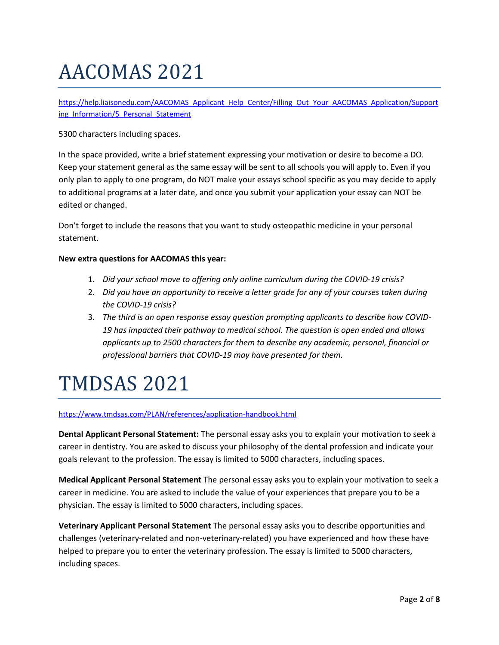# <span id="page-1-0"></span>AACOMAS 2021

[https://help.liaisonedu.com/AACOMAS\\_Applicant\\_Help\\_Center/Filling\\_Out\\_Your\\_AACOMAS\\_Application/Support](https://help.liaisonedu.com/AACOMAS_Applicant_Help_Center/Filling_Out_Your_AACOMAS_Application/Supporting_Information/5_Personal_Statement) ing Information/5 Personal Statement

5300 characters including spaces.

In the space provided, write a brief statement expressing your motivation or desire to become a DO. Keep your statement general as the same essay will be sent to all schools you will apply to. Even if you only plan to apply to one program, do NOT make your essays school specific as you may decide to apply to additional programs at a later date, and once you submit your application your essay can NOT be edited or changed.

Don't forget to include the reasons that you want to study osteopathic medicine in your personal statement.

#### **New extra questions for AACOMAS this year:**

- 1. *Did your school move to offering only online curriculum during the COVID-19 crisis?*
- 2. *Did you have an opportunity to receive a letter grade for any of your courses taken during the COVID-19 crisis?*
- 3. *The third is an open response essay question prompting applicants to describe how COVID-19 has impacted their pathway to medical school. The question is open ended and allows applicants up to 2500 characters for them to describe any academic, personal, financial or professional barriers that COVID-19 may have presented for them.*

### <span id="page-1-1"></span>TMDSAS 2021

<https://www.tmdsas.com/PLAN/references/application-handbook.html>

**Dental Applicant Personal Statement:** The personal essay asks you to explain your motivation to seek a career in dentistry. You are asked to discuss your philosophy of the dental profession and indicate your goals relevant to the profession. The essay is limited to 5000 characters, including spaces.

**Medical Applicant Personal Statement** The personal essay asks you to explain your motivation to seek a career in medicine. You are asked to include the value of your experiences that prepare you to be a physician. The essay is limited to 5000 characters, including spaces.

**Veterinary Applicant Personal Statement** The personal essay asks you to describe opportunities and challenges (veterinary-related and non-veterinary-related) you have experienced and how these have helped to prepare you to enter the veterinary profession. The essay is limited to 5000 characters, including spaces.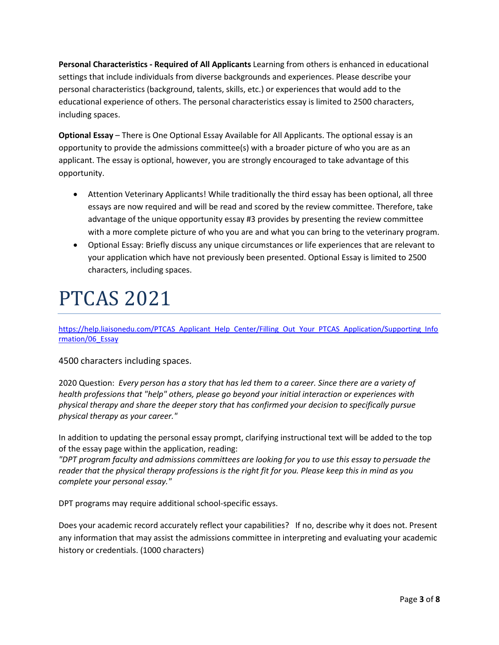**Personal Characteristics - Required of All Applicants** Learning from others is enhanced in educational settings that include individuals from diverse backgrounds and experiences. Please describe your personal characteristics (background, talents, skills, etc.) or experiences that would add to the educational experience of others. The personal characteristics essay is limited to 2500 characters, including spaces.

**Optional Essay** – There is One Optional Essay Available for All Applicants. The optional essay is an opportunity to provide the admissions committee(s) with a broader picture of who you are as an applicant. The essay is optional, however, you are strongly encouraged to take advantage of this opportunity.

- Attention Veterinary Applicants! While traditionally the third essay has been optional, all three essays are now required and will be read and scored by the review committee. Therefore, take advantage of the unique opportunity essay #3 provides by presenting the review committee with a more complete picture of who you are and what you can bring to the veterinary program.
- Optional Essay: Briefly discuss any unique circumstances or life experiences that are relevant to your application which have not previously been presented. Optional Essay is limited to 2500 characters, including spaces.

### PTCAS 2021

[https://help.liaisonedu.com/PTCAS\\_Applicant\\_Help\\_Center/Filling\\_Out\\_Your\\_PTCAS\\_Application/Supporting\\_Info](https://help.liaisonedu.com/PTCAS_Applicant_Help_Center/Filling_Out_Your_PTCAS_Application/Supporting_Information/06_Essay) [rmation/06\\_Essay](https://help.liaisonedu.com/PTCAS_Applicant_Help_Center/Filling_Out_Your_PTCAS_Application/Supporting_Information/06_Essay)

4500 characters including spaces.

2020 Question: *Every person has a story that has led them to a career. Since there are a variety of health professions that "help" others, please go beyond your initial interaction or experiences with physical therapy and share the deeper story that has confirmed your decision to specifically pursue physical therapy as your career."*

In addition to updating the personal essay prompt, clarifying instructional text will be added to the top of the essay page within the application, reading:

*"DPT program faculty and admissions committees are looking for you to use this essay to persuade the reader that the physical therapy professions is the right fit for you. Please keep this in mind as you complete your personal essay."*

DPT programs may require additional school-specific essays.

Does your academic record accurately reflect your capabilities? If no, describe why it does not. Present any information that may assist the admissions committee in interpreting and evaluating your academic history or credentials. (1000 characters)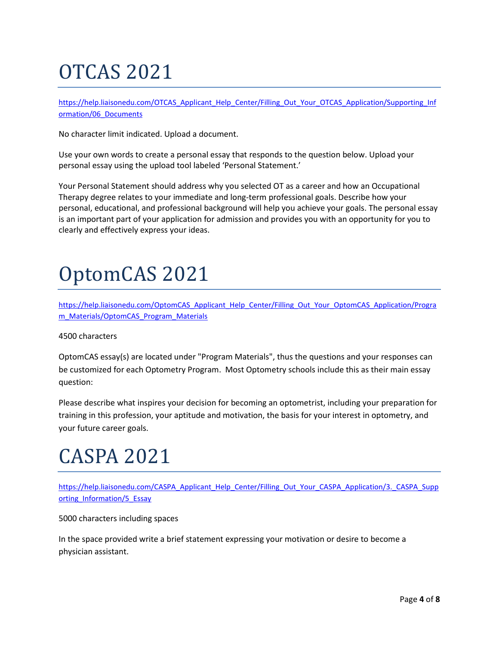# <span id="page-3-1"></span>OTCAS 2021

[https://help.liaisonedu.com/OTCAS\\_Applicant\\_Help\\_Center/Filling\\_Out\\_Your\\_OTCAS\\_Application/Supporting\\_Inf](https://help.liaisonedu.com/OTCAS_Applicant_Help_Center/Filling_Out_Your_OTCAS_Application/Supporting_Information/06_Documents) [ormation/06\\_Documents](https://help.liaisonedu.com/OTCAS_Applicant_Help_Center/Filling_Out_Your_OTCAS_Application/Supporting_Information/06_Documents)

No character limit indicated. Upload a document.

Use your own words to create a personal essay that responds to the question below. Upload your personal essay using the upload tool labeled 'Personal Statement.'

Your Personal Statement should address why you selected OT as a career and how an Occupational Therapy degree relates to your immediate and long-term professional goals. Describe how your personal, educational, and professional background will help you achieve your goals. The personal essay is an important part of your application for admission and provides you with an opportunity for you to clearly and effectively express your ideas.

## <span id="page-3-0"></span>OptomCAS 2021

[https://help.liaisonedu.com/OptomCAS\\_Applicant\\_Help\\_Center/Filling\\_Out\\_Your\\_OptomCAS\\_Application/Progra](https://help.liaisonedu.com/OptomCAS_Applicant_Help_Center/Filling_Out_Your_OptomCAS_Application/Program_Materials/OptomCAS_Program_Materials) [m\\_Materials/OptomCAS\\_Program\\_Materials](https://help.liaisonedu.com/OptomCAS_Applicant_Help_Center/Filling_Out_Your_OptomCAS_Application/Program_Materials/OptomCAS_Program_Materials)

4500 characters

OptomCAS essay(s) are located under "Program Materials", thus the questions and your responses can be customized for each Optometry Program. Most Optometry schools include this as their main essay question:

Please describe what inspires your decision for becoming an optometrist, including your preparation for training in this profession, your aptitude and motivation, the basis for your interest in optometry, and your future career goals.

# CASPA 2021

[https://help.liaisonedu.com/CASPA\\_Applicant\\_Help\\_Center/Filling\\_Out\\_Your\\_CASPA\\_Application/3.\\_CASPA\\_Supp](https://help.liaisonedu.com/CASPA_Applicant_Help_Center/Filling_Out_Your_CASPA_Application/3._CASPA_Supporting_Information/5_Essay) [orting\\_Information/5\\_Essay](https://help.liaisonedu.com/CASPA_Applicant_Help_Center/Filling_Out_Your_CASPA_Application/3._CASPA_Supporting_Information/5_Essay)

5000 characters including spaces

In the space provided write a brief statement expressing your motivation or desire to become a physician assistant.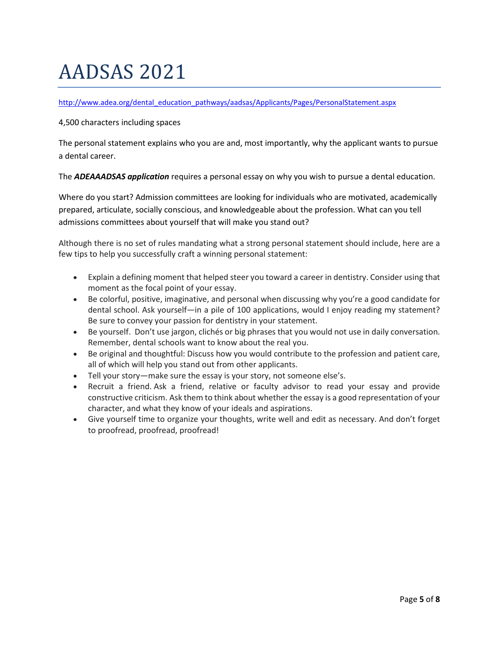# AADSAS 2021

#### [http://www.adea.org/dental\\_education\\_pathways/aadsas/Applicants/Pages/PersonalStatement.aspx](http://www.adea.org/dental_education_pathways/aadsas/Applicants/Pages/PersonalStatement.aspx)

#### 4,500 characters including spaces

The personal statement explains who you are and, most importantly, why the applicant wants to pursue a dental career.

The *ADEAAADSAS application* requires a personal essay on why you wish to pursue a dental education.

Where do you start? Admission committees are looking for individuals who are motivated, academically prepared, articulate, socially conscious, and knowledgeable about the profession. What can you tell admissions committees about yourself that will make you stand out?

Although there is no set of rules mandating what a strong personal statement should include, here are a few tips to help you successfully craft a winning personal statement:

- Explain a defining moment that helped steer you toward a career in dentistry. Consider using that moment as the focal point of your essay.
- Be colorful, positive, imaginative, and personal when discussing why you're a good candidate for dental school. Ask yourself—in a pile of 100 applications, would I enjoy reading my statement? Be sure to convey your passion for dentistry in your statement.
- Be yourself. Don't use jargon, clichés or big phrases that you would not use in daily conversation. Remember, dental schools want to know about the real you.
- Be original and thoughtful: Discuss how you would contribute to the profession and patient care, all of which will help you stand out from other applicants.
- Tell your story—make sure the essay is your story, not someone else's.
- Recruit a friend. Ask a friend, relative or faculty advisor to read your essay and provide constructive criticism. Ask them to think about whether the essay is a good representation of your character, and what they know of your ideals and aspirations.
- <span id="page-4-0"></span>• Give yourself time to organize your thoughts, write well and edit as necessary. And don't forget to proofread, proofread, proofread!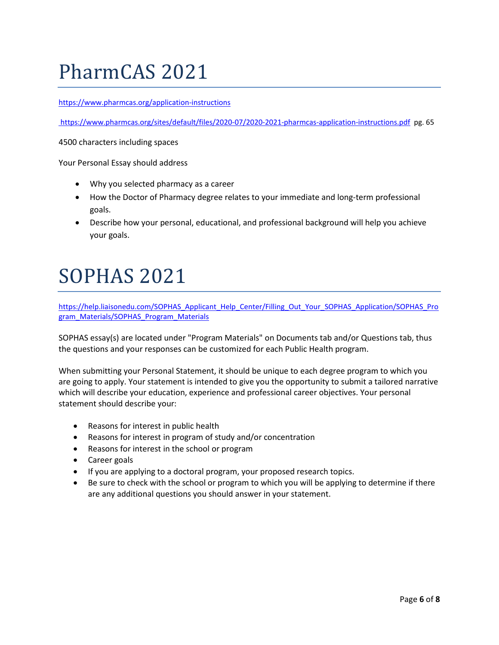### PharmCAS 2021

<https://www.pharmcas.org/application-instructions>

<https://www.pharmcas.org/sites/default/files/2020-07/2020-2021-pharmcas-application-instructions.pdf>pg. 65

4500 characters including spaces

Your Personal Essay should address

- Why you selected pharmacy as a career
- How the Doctor of Pharmacy degree relates to your immediate and long-term professional goals.
- Describe how your personal, educational, and professional background will help you achieve your goals.

### <span id="page-5-0"></span>SOPHAS 2021

[https://help.liaisonedu.com/SOPHAS\\_Applicant\\_Help\\_Center/Filling\\_Out\\_Your\\_SOPHAS\\_Application/SOPHAS\\_Pro](https://help.liaisonedu.com/SOPHAS_Applicant_Help_Center/Filling_Out_Your_SOPHAS_Application/SOPHAS_Program_Materials/SOPHAS_Program_Materials) [gram\\_Materials/SOPHAS\\_Program\\_Materials](https://help.liaisonedu.com/SOPHAS_Applicant_Help_Center/Filling_Out_Your_SOPHAS_Application/SOPHAS_Program_Materials/SOPHAS_Program_Materials)

SOPHAS essay(s) are located under "Program Materials" on Documents tab and/or Questions tab, thus the questions and your responses can be customized for each Public Health program.

When submitting your Personal Statement, it should be unique to each degree program to which you are going to apply. Your statement is intended to give you the opportunity to submit a tailored narrative which will describe your education, experience and professional career objectives. Your personal statement should describe your:

- Reasons for interest in public health
- Reasons for interest in program of study and/or concentration
- Reasons for interest in the school or program
- Career goals
- If you are applying to a doctoral program, your proposed research topics.
- <span id="page-5-1"></span>• Be sure to check with the school or program to which you will be applying to determine if there are any additional questions you should answer in your statement.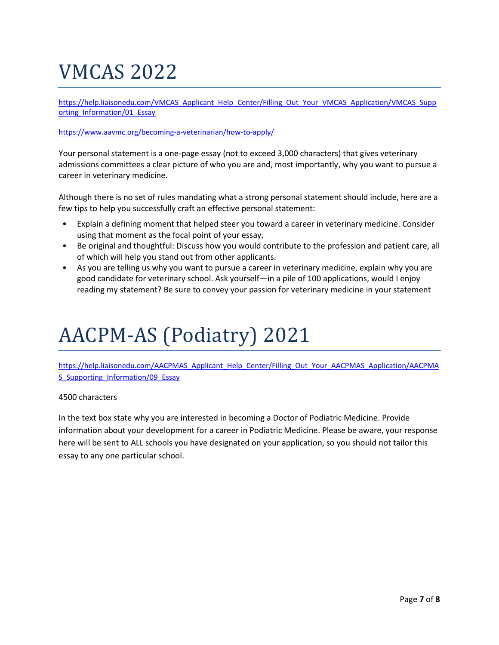### VMCAS 2022

[https://help.liaisonedu.com/VMCAS\\_Applicant\\_Help\\_Center/Filling\\_Out\\_Your\\_VMCAS\\_Application/VMCAS\\_Supp](https://help.liaisonedu.com/VMCAS_Applicant_Help_Center/Filling_Out_Your_VMCAS_Application/VMCAS_Supporting_Information/01_Essay) [orting\\_Information/01\\_Essay](https://help.liaisonedu.com/VMCAS_Applicant_Help_Center/Filling_Out_Your_VMCAS_Application/VMCAS_Supporting_Information/01_Essay)

#### https://www.aavmc.org/becoming-a-veterinarian/how-to-apply/

Your personal statement is a one-page essay (not to exceed 3,000 characters) that gives veterinary admissions committees a clear picture of who you are and, most importantly, why you want to pursue a career in veterinary medicine.

Although there is no set of rules mandating what a strong personal statement should include, here are a few tips to help you successfully craft an effective personal statement:

- Explain a defining moment that helped steer you toward a career in veterinary medicine. Consider using that moment as the focal point of your essay.
- Be original and thoughtful: Discuss how you would contribute to the profession and patient care, all of which will help you stand out from other applicants.
- As you are telling us why you want to pursue a career in veterinary medicine, explain why you are good candidate for veterinary school. Ask yourself—in a pile of 100 applications, would I enjoy reading my statement? Be sure to convey your passion for veterinary medicine in your statement

# <span id="page-6-0"></span>AACPM-AS (Podiatry) 2021

[https://help.liaisonedu.com/AACPMAS\\_Applicant\\_Help\\_Center/Filling\\_Out\\_Your\\_AACPMAS\\_Application/AACPMA](https://help.liaisonedu.com/AACPMAS_Applicant_Help_Center/Filling_Out_Your_AACPMAS_Application/AACPMAS_Supporting_Information/09_Essay) [S\\_Supporting\\_Information/09\\_Essay](https://help.liaisonedu.com/AACPMAS_Applicant_Help_Center/Filling_Out_Your_AACPMAS_Application/AACPMAS_Supporting_Information/09_Essay)

#### 4500 characters

In the text box state why you are interested in becoming a Doctor of Podiatric Medicine. Provide information about your development for a career in Podiatric Medicine. Please be aware, your response here will be sent to ALL schools you have designated on your application, so you should not tailor this essay to any one particular school.